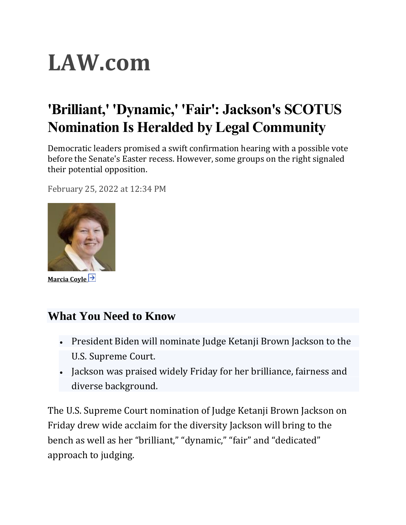# **LAW.com**

## **'Brilliant,' 'Dynamic,' 'Fair': Jackson's SCOTUS Nomination Is Heralded by Legal Community**

Democratic leaders promised a swift confirmation hearing with a possible vote before the Senate's Easter recess. However, some groups on the right signaled their potential opposition.

February 25, 2022 at 12:34 PM



**[Marcia Coyle](https://www.law.com/author/profile/marcia-coyle/)**

### **What You Need to Know**

- President Biden will nominate Judge Ketanji Brown Jackson to the U.S. Supreme Court.
- Jackson was praised widely Friday for her brilliance, fairness and diverse background.

The U.S. Supreme Court nomination of Judge Ketanji Brown Jackson on Friday drew wide acclaim for the diversity Jackson will bring to the bench as well as her "brilliant," "dynamic," "fair" and "dedicated" approach to judging.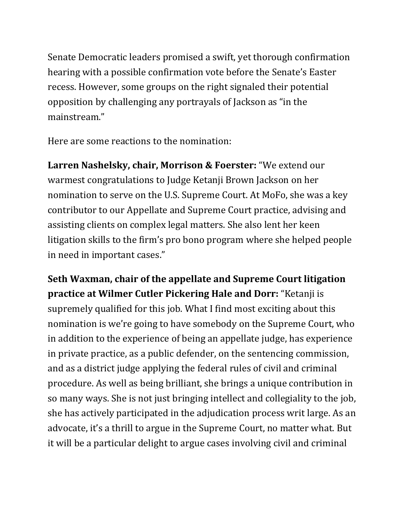Senate Democratic leaders promised a swift, yet thorough confirmation hearing with a possible confirmation vote before the Senate's Easter recess. However, some groups on the right signaled their potential opposition by challenging any portrayals of Jackson as "in the mainstream."

Here are some reactions to the nomination:

**Larren Nashelsky, chair, Morrison & Foerster:** "We extend our warmest congratulations to Judge Ketanji Brown Jackson on her nomination to serve on the U.S. Supreme Court. At MoFo, she was a key contributor to our Appellate and Supreme Court practice, advising and assisting clients on complex legal matters. She also lent her keen litigation skills to the firm's pro bono program where she helped people in need in important cases."

**Seth Waxman, chair of the appellate and Supreme Court litigation practice at Wilmer Cutler Pickering Hale and Dorr:** "Ketanji is supremely qualified for this job. What I find most exciting about this nomination is we're going to have somebody on the Supreme Court, who in addition to the experience of being an appellate judge, has experience in private practice, as a public defender, on the sentencing commission, and as a district judge applying the federal rules of civil and criminal procedure. As well as being brilliant, she brings a unique contribution in so many ways. She is not just bringing intellect and collegiality to the job, she has actively participated in the adjudication process writ large. As an advocate, it's a thrill to argue in the Supreme Court, no matter what. But it will be a particular delight to argue cases involving civil and criminal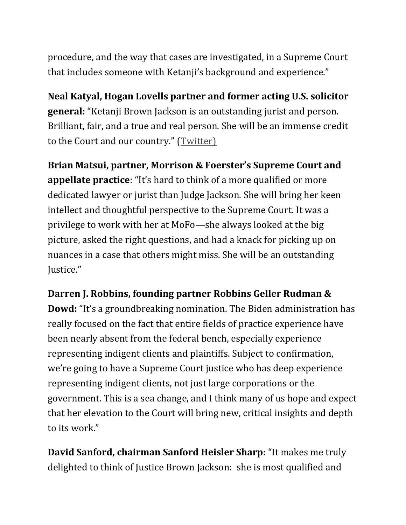procedure, and the way that cases are investigated, in a Supreme Court that includes someone with Ketanji's background and experience."

**Neal Katyal, Hogan Lovells partner and former acting U.S. solicitor general:** "Ketanji Brown Jackson is an outstanding jurist and person. Brilliant, fair, and a true and real person. She will be an immense credit to the Court and our country." ([Twitter\)](https://twitter.com/neal_katyal/status/1497227143327137792)

**Brian Matsui, partner, Morrison & Foerster's Supreme Court and appellate practice**: "It's hard to think of a more qualified or more dedicated lawyer or jurist than Judge Jackson. She will bring her keen intellect and thoughtful perspective to the Supreme Court. It was a privilege to work with her at MoFo—she always looked at the big picture, asked the right questions, and had a knack for picking up on nuances in a case that others might miss. She will be an outstanding Justice."

#### **Darren J. Robbins, founding partner Robbins Geller Rudman &**

**Dowd:** "It's a groundbreaking nomination. The Biden administration has really focused on the fact that entire fields of practice experience have been nearly absent from the federal bench, especially experience representing indigent clients and plaintiffs. Subject to confirmation, we're going to have a Supreme Court justice who has deep experience representing indigent clients, not just large corporations or the government. This is a sea change, and I think many of us hope and expect that her elevation to the Court will bring new, critical insights and depth to its work."

**David Sanford, chairman Sanford Heisler Sharp:** "It makes me truly delighted to think of Justice Brown Jackson: she is most qualified and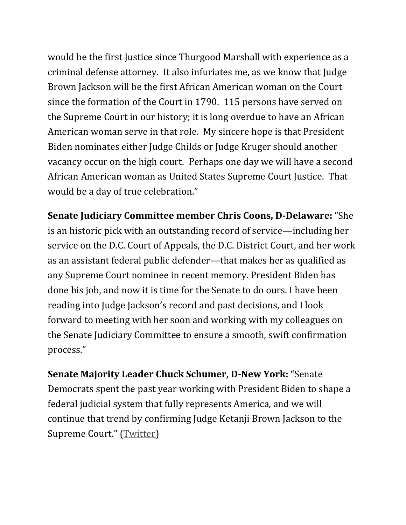would be the first Justice since Thurgood Marshall with experience as a criminal defense attorney. It also infuriates me, as we know that Judge Brown Jackson will be the first African American woman on the Court since the formation of the Court in 1790. 115 persons have served on the Supreme Court in our history; it is long overdue to have an African American woman serve in that role. My sincere hope is that President Biden nominates either Judge Childs or Judge Kruger should another vacancy occur on the high court. Perhaps one day we will have a second African American woman as United States Supreme Court Justice. That would be a day of true celebration."

**Senate Judiciary Committee member Chris Coons, D-Delaware:** "She is an historic pick with an outstanding record of service—including her service on the D.C. Court of Appeals, the D.C. District Court, and her work as an assistant federal public defender—that makes her as qualified as any Supreme Court nominee in recent memory. President Biden has done his job, and now it is time for the Senate to do ours. I have been reading into Judge Jackson's record and past decisions, and I look forward to meeting with her soon and working with my colleagues on the Senate Judiciary Committee to ensure a smooth, swift confirmation process."

**Senate Majority Leader Chuck Schumer, D-New York:** "Senate Democrats spent the past year working with President Biden to shape a federal judicial system that fully represents America, and we will continue that trend by confirming Judge Ketanji Brown Jackson to the Supreme Court." ([Twitter\)](https://twitter.com/SenSchumer/status/1497227539344936960)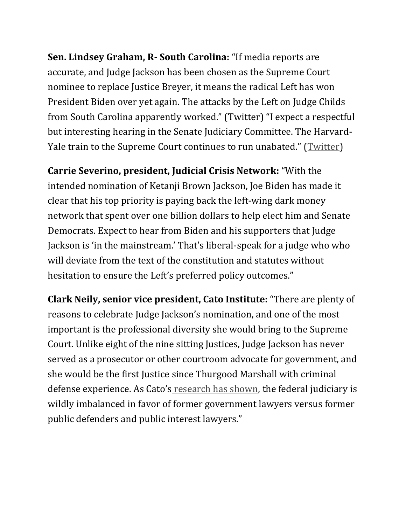**Sen. Lindsey Graham, R- South Carolina:** "If media reports are accurate, and Judge Jackson has been chosen as the Supreme Court nominee to replace Justice Breyer, it means the radical Left has won President Biden over yet again. The attacks by the Left on Judge Childs from South Carolina apparently worked." (Twitter) "I expect a respectful but interesting hearing in the Senate Judiciary Committee. The Harvard-Yale train to the Supreme Court continues to run unabated." ([Twitter\)](https://twitter.com/LindseyGrahamSC/status/1497218325394374709)

**Carrie Severino, president, Judicial Crisis Network:** "With the intended nomination of Ketanji Brown Jackson, Joe Biden has made it clear that his top priority is paying back the left-wing dark money network that spent over one billion dollars to help elect him and Senate Democrats. Expect to hear from Biden and his supporters that Judge Jackson is 'in the mainstream.' That's liberal-speak for a judge who who will deviate from the text of the constitution and statutes without hesitation to ensure the Left's preferred policy outcomes."

**Clark Neily, senior vice president, Cato Institute:** "There are plenty of reasons to celebrate Judge Jackson's nomination, and one of the most important is the professional diversity she would bring to the Supreme Court. Unlike eight of the nine sitting Justices, Judge Jackson has never served as a prosecutor or other courtroom advocate for government, and she would be the first Justice since Thurgood Marshall with criminal defense experience. As Cato's [research has shown,](https://u7061146.ct.sendgrid.net/ls/click?upn=4tNED-2FM8iDZJQyQ53jATUbRuYQ1F-2FrSU5vGKvjT39Z-2FaibvGkuF-2BpunoSRXTl9wZzSW4jbD5YGncvl01kyQmLSEC05PhPbnpAZJk-2F2vkGL8-2BMLVWEz8CvVZIF3A-2F7CxG6VCk9ewdM2DCiFbH0P-2FZQA-3D-3DAjsD_lPhqircnh22-2FQf0sUVldPM-2BF3USDjIuz-2BwlTnSJ9YTewUmP0dunuwponXFbsDMu62qcSVNJdjSMIEiUg5WjNuIhJV21QTrbKCE-2BeXqrBGdRrply4ZdqYk3Rxea4uAEEuOi59VgJea-2F-2BFDN8axf14UILTocwAVBdH1C4z7BRBlo0UWXap4XR9bLXQZWisvqvoDItDSkd1PIYayX8o8eHkWD-2FPWjOApDOyLTSZgZLtDbBU5W9vBgq-2FvudpyLi7aY9L4U-2BIopGb2MxhdEIn9KrH2EqI2FC1uMbeMx-2FP6h3hoXmoPSiHsU0xvlXr2eyhV42-2F2Tm8PMRNaQ-2Frrq8QpeyT7A-3D-3D) the federal judiciary is wildly imbalanced in favor of former government lawyers versus former public defenders and public interest lawyers."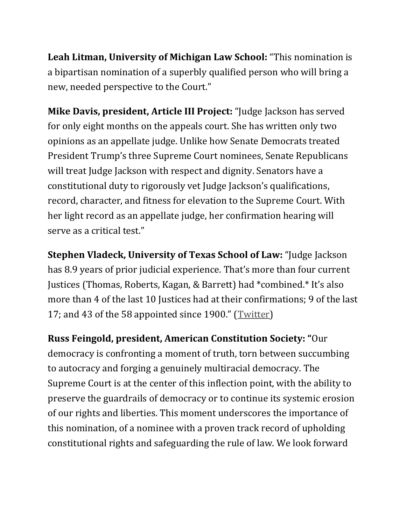**Leah Litman, University of Michigan Law School:** "This nomination is a bipartisan nomination of a superbly qualified person who will bring a new, needed perspective to the Court."

**Mike Davis, president, Article III Project:** "Judge Jackson has served for only eight months on the appeals court. She has written only two opinions as an appellate judge. Unlike how Senate Democrats treated President Trump's three Supreme Court nominees, Senate Republicans will treat Judge Jackson with respect and dignity. Senators have a constitutional duty to rigorously vet Judge Jackson's qualifications, record, character, and fitness for elevation to the Supreme Court. With her light record as an appellate judge, her confirmation hearing will serve as a critical test."

**Stephen Vladeck, University of Texas School of Law:** "Judge Jackson has 8.9 years of prior judicial experience. That's more than four current Justices (Thomas, Roberts, Kagan, & Barrett) had \*combined.\* It's also more than 4 of the last 10 Justices had at their confirmations; 9 of the last 17; and 43 of the 58 appointed since 1900." ([Twitter\)](https://twitter.com/steve_vladeck)

**Russ Feingold, president, American Constitution Society: "**Our democracy is confronting a moment of truth, torn between succumbing to autocracy and forging a genuinely multiracial democracy. The Supreme Court is at the center of this inflection point, with the ability to preserve the guardrails of democracy or to continue its systemic erosion of our rights and liberties. This moment underscores the importance of this nomination, of a nominee with a proven track record of upholding constitutional rights and safeguarding the rule of law. We look forward